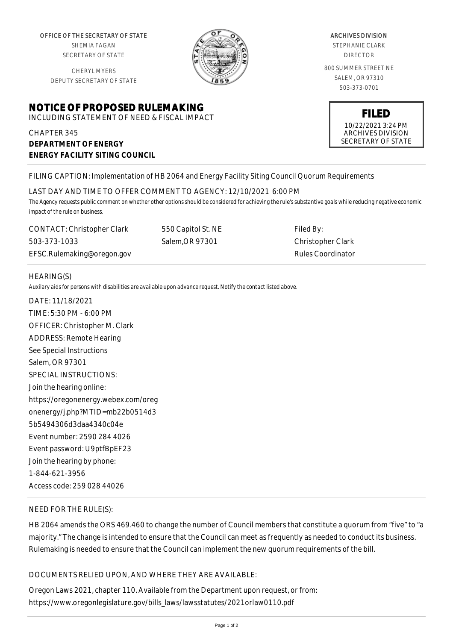OFFICE OF THE SECRETARY OF STATE SHEMIA FAGAN

SECRETARY OF STATE

CHERYL MYERS DEPUTY SECRETARY OF STATE

## **NOTICE OF PROPOSED RULEMAKING**

INCLUDING STATEMENT OF NEED & FISCAL IMPACT

CHAPTER 345 **DEPARTMENT OF ENERGY ENERGY FACILITY SITING COUNCIL**

## ARCHIVES DIVISION

STEPHANIE CLARK DIRECTOR

800 SUMMER STREET NE SALEM, OR 97310 503-373-0701

# **FILED** 10/22/2021 3:24 PM

ARCHIVES DIVISION SECRETARY OF STATE

## FILING CAPTION: Implementation of HB 2064 and Energy Facility Siting Council Quorum Requirements

### LAST DAY AND TIME TO OFFER COMMENT TO AGENCY: 12/10/2021 6:00 PM

*The Agency requests public comment on whether other options should be considered for achieving the rule's substantive goals while reducing negative economic impact of the rule on business.*

CONTACT: Christopher Clark 503-373-1033 EFSC.Rulemaking@oregon.gov 550 Capitol St. NE Salem,OR 97301

Filed By: Christopher Clark Rules Coordinator

### HEARING(S)

*Auxilary aids for persons with disabilities are available upon advance request. Notify the contact listed above.*

DATE: 11/18/2021 TIME: 5:30 PM - 6:00 PM OFFICER: Christopher M. Clark ADDRESS: Remote Hearing See Special Instructions Salem, OR 97301 SPECIAL INSTRUCTIONS: Join the hearing online: https://oregonenergy.webex.com/oreg onenergy/j.php?MTID=mb22b0514d3 5b5494306d3daa4340c04e Event number: 2590 284 4026 Event password: U9ptfBpEF23 Join the hearing by phone: 1-844-621-3956 Access code: 259 028 44026

## NEED FOR THE RULE(S):

HB 2064 amends the ORS 469.460 to change the number of Council members that constitute a quorum from "five" to "a majority." The change is intended to ensure that the Council can meet as frequently as needed to conduct its business. Rulemaking is needed to ensure that the Council can implement the new quorum requirements of the bill.

## DOCUMENTS RELIED UPON, AND WHERE THEY ARE AVAILABLE:

Oregon Laws 2021, chapter 110. Available from the Department upon request, or from: https://www.oregonlegislature.gov/bills\_laws/lawsstatutes/2021orlaw0110.pdf